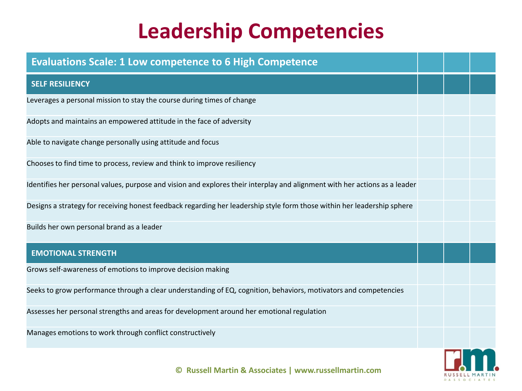| <b>Evaluations Scale: 1 Low competence to 6 High Competence</b>                                                            |  |  |
|----------------------------------------------------------------------------------------------------------------------------|--|--|
| <b>SELF RESILIENCY</b>                                                                                                     |  |  |
| Leverages a personal mission to stay the course during times of change                                                     |  |  |
| Adopts and maintains an empowered attitude in the face of adversity                                                        |  |  |
| Able to navigate change personally using attitude and focus                                                                |  |  |
| Chooses to find time to process, review and think to improve resiliency                                                    |  |  |
| Identifies her personal values, purpose and vision and explores their interplay and alignment with her actions as a leader |  |  |
| Designs a strategy for receiving honest feedback regarding her leadership style form those within her leadership sphere    |  |  |
| Builds her own personal brand as a leader                                                                                  |  |  |
| <b>EMOTIONAL STRENGTH</b>                                                                                                  |  |  |
| Grows self-awareness of emotions to improve decision making                                                                |  |  |
| Seeks to grow performance through a clear understanding of EQ, cognition, behaviors, motivators and competencies           |  |  |
| Assesses her personal strengths and areas for development around her emotional regulation                                  |  |  |
| Manages emotions to work through conflict constructively                                                                   |  |  |
|                                                                                                                            |  |  |

RUSSELL MARTIN & A S S O C I A T E S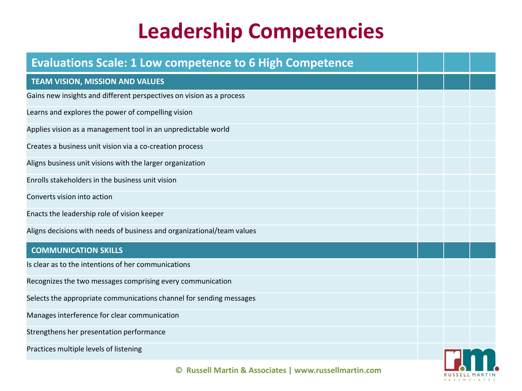| <b>Evaluations Scale: 1 Low competence to 6 High Competence</b>        |  |  |
|------------------------------------------------------------------------|--|--|
| <b>TEAM VISION, MISSION AND VALUES</b>                                 |  |  |
| Gains new insights and different perspectives on vision as a process   |  |  |
| Learns and explores the power of compelling vision                     |  |  |
| Applies vision as a management tool in an unpredictable world          |  |  |
| Creates a business unit vision via a co-creation process               |  |  |
| Aligns business unit visions with the larger organization              |  |  |
| Enrolls stakeholders in the business unit vision                       |  |  |
| Converts vision into action                                            |  |  |
| Enacts the leadership role of vision keeper                            |  |  |
| Aligns decisions with needs of business and organizational/team values |  |  |
| <b>COMMUNICATION SKILLS</b>                                            |  |  |
| Is clear as to the intentions of her communications                    |  |  |
| Recognizes the two messages comprising every communication             |  |  |
| Selects the appropriate communications channel for sending messages    |  |  |
| Manages interference for clear communication                           |  |  |
| Strengthens her presentation performance                               |  |  |
| Practices multiple levels of listening                                 |  |  |
| © Russell Martin & Associates   www.russellmartin.com                  |  |  |

& A S S O C I A T E S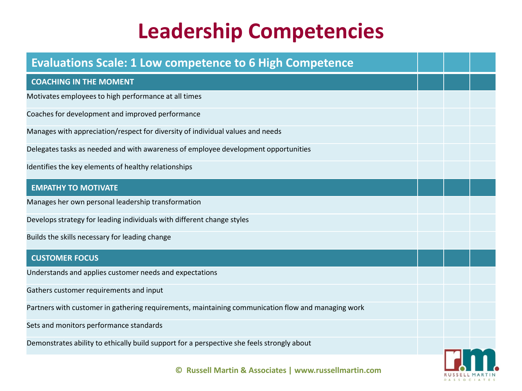| <b>Evaluations Scale: 1 Low competence to 6 High Competence</b>                                    |  |  |
|----------------------------------------------------------------------------------------------------|--|--|
| <b>COACHING IN THE MOMENT</b>                                                                      |  |  |
| Motivates employees to high performance at all times                                               |  |  |
| Coaches for development and improved performance                                                   |  |  |
| Manages with appreciation/respect for diversity of individual values and needs                     |  |  |
| Delegates tasks as needed and with awareness of employee development opportunities                 |  |  |
| Identifies the key elements of healthy relationships                                               |  |  |
| <b>EMPATHY TO MOTIVATE</b>                                                                         |  |  |
| Manages her own personal leadership transformation                                                 |  |  |
| Develops strategy for leading individuals with different change styles                             |  |  |
| Builds the skills necessary for leading change                                                     |  |  |
| <b>CUSTOMER FOCUS</b>                                                                              |  |  |
| Understands and applies customer needs and expectations                                            |  |  |
| Gathers customer requirements and input                                                            |  |  |
| Partners with customer in gathering requirements, maintaining communication flow and managing work |  |  |
| Sets and monitors performance standards                                                            |  |  |
| Demonstrates ability to ethically build support for a perspective she feels strongly about         |  |  |
| © Russell Martin & Associates   www.russellmartin.com                                              |  |  |

RUSSELL MARTIN & A S S O C I A T E S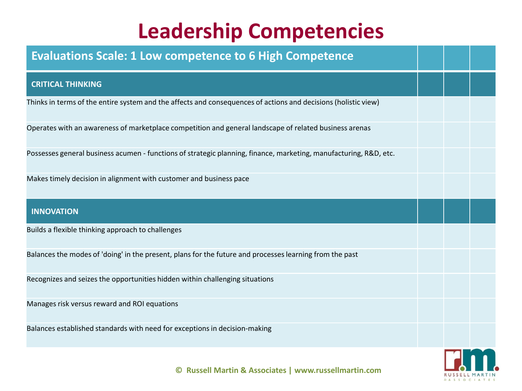| <b>Evaluations Scale: 1 Low competence to 6 High Competence</b>                                                   |  |  |
|-------------------------------------------------------------------------------------------------------------------|--|--|
| <b>CRITICAL THINKING</b>                                                                                          |  |  |
| Thinks in terms of the entire system and the affects and consequences of actions and decisions (holistic view)    |  |  |
| Operates with an awareness of marketplace competition and general landscape of related business arenas            |  |  |
| Possesses general business acumen - functions of strategic planning, finance, marketing, manufacturing, R&D, etc. |  |  |
| Makes timely decision in alignment with customer and business pace                                                |  |  |
| <b>INNOVATION</b>                                                                                                 |  |  |
| Builds a flexible thinking approach to challenges                                                                 |  |  |
| Balances the modes of 'doing' in the present, plans for the future and processes learning from the past           |  |  |
| Recognizes and seizes the opportunities hidden within challenging situations                                      |  |  |
| Manages risk versus reward and ROI equations                                                                      |  |  |
| Balances established standards with need for exceptions in decision-making                                        |  |  |
|                                                                                                                   |  |  |

& A S S O C I A T E S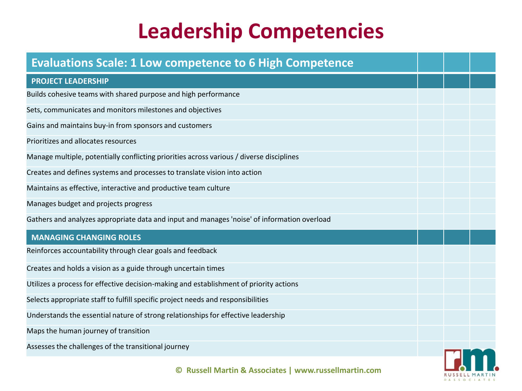| <b>Evaluations Scale: 1 Low competence to 6 High Competence</b>                             |  |  |
|---------------------------------------------------------------------------------------------|--|--|
| <b>PROJECT LEADERSHIP</b>                                                                   |  |  |
| Builds cohesive teams with shared purpose and high performance                              |  |  |
| Sets, communicates and monitors milestones and objectives                                   |  |  |
| Gains and maintains buy-in from sponsors and customers                                      |  |  |
| Prioritizes and allocates resources                                                         |  |  |
| Manage multiple, potentially conflicting priorities across various / diverse disciplines    |  |  |
| Creates and defines systems and processes to translate vision into action                   |  |  |
| Maintains as effective, interactive and productive team culture                             |  |  |
| Manages budget and projects progress                                                        |  |  |
| Gathers and analyzes appropriate data and input and manages 'noise' of information overload |  |  |
| <b>MANAGING CHANGING ROLES</b>                                                              |  |  |
| Reinforces accountability through clear goals and feedback                                  |  |  |
| Creates and holds a vision as a guide through uncertain times                               |  |  |
| Utilizes a process for effective decision-making and establishment of priority actions      |  |  |
| Selects appropriate staff to fulfill specific project needs and responsibilities            |  |  |
| Understands the essential nature of strong relationships for effective leadership           |  |  |
| Maps the human journey of transition                                                        |  |  |
| Assesses the challenges of the transitional journey                                         |  |  |
| © Russell Martin & Associates   www.russellmartin.com                                       |  |  |

& A S S O C I A T E S